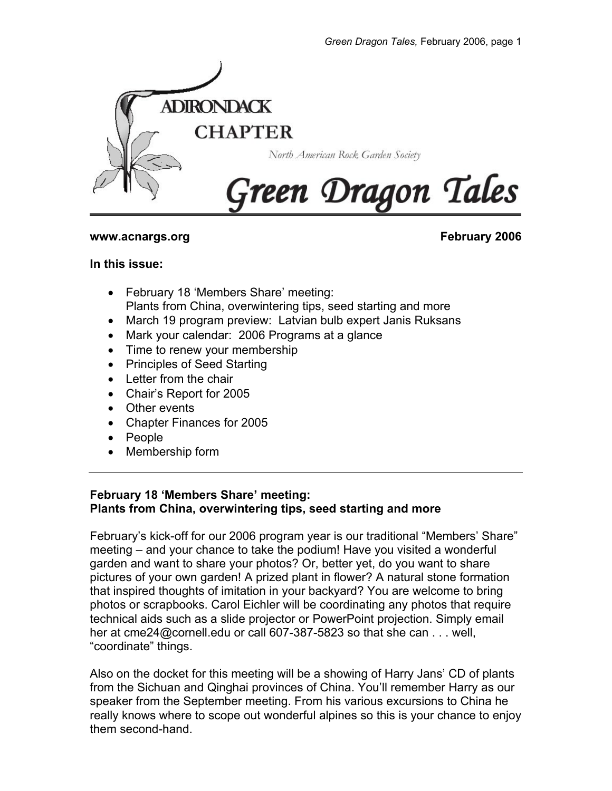

### **www.acnargs.org February 2006**

### **In this issue:**

- February 18 'Members Share' meeting: Plants from China, overwintering tips, seed starting and more
- March 19 program preview: Latvian bulb expert Janis Ruksans
- Mark your calendar: 2006 Programs at a glance
- Time to renew your membership
- Principles of Seed Starting
- Letter from the chair
- Chair's Report for 2005
- Other events
- Chapter Finances for 2005
- People
- Membership form

## **February 18 'Members Share' meeting: Plants from China, overwintering tips, seed starting and more**

February's kick-off for our 2006 program year is our traditional "Members' Share" meeting – and your chance to take the podium! Have you visited a wonderful garden and want to share your photos? Or, better yet, do you want to share pictures of your own garden! A prized plant in flower? A natural stone formation that inspired thoughts of imitation in your backyard? You are welcome to bring photos or scrapbooks. Carol Eichler will be coordinating any photos that require technical aids such as a slide projector or PowerPoint projection. Simply email her at cme24@cornell.edu or call 607-387-5823 so that she can . . . well, "coordinate" things.

Also on the docket for this meeting will be a showing of Harry Jans' CD of plants from the Sichuan and Qinghai provinces of China. You'll remember Harry as our speaker from the September meeting. From his various excursions to China he really knows where to scope out wonderful alpines so this is your chance to enjoy them second-hand.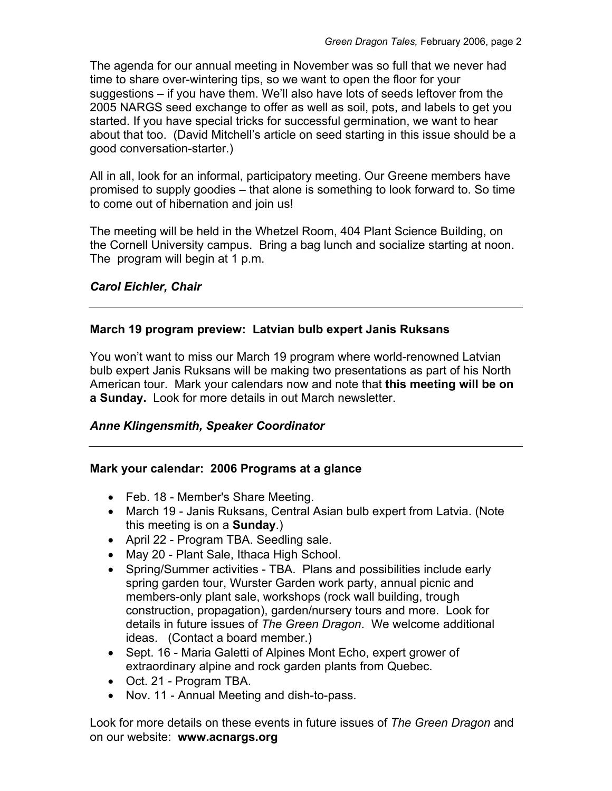The agenda for our annual meeting in November was so full that we never had time to share over-wintering tips, so we want to open the floor for your suggestions – if you have them. We'll also have lots of seeds leftover from the 2005 NARGS seed exchange to offer as well as soil, pots, and labels to get you started. If you have special tricks for successful germination, we want to hear about that too. (David Mitchell's article on seed starting in this issue should be a good conversation-starter.)

All in all, look for an informal, participatory meeting. Our Greene members have promised to supply goodies – that alone is something to look forward to. So time to come out of hibernation and join us!

The meeting will be held in the Whetzel Room, 404 Plant Science Building, on the Cornell University campus. Bring a bag lunch and socialize starting at noon. The program will begin at 1 p.m.

# *Carol Eichler, Chair*

## **March 19 program preview: Latvian bulb expert Janis Ruksans**

You won't want to miss our March 19 program where world-renowned Latvian bulb expert Janis Ruksans will be making two presentations as part of his North American tour. Mark your calendars now and note that **this meeting will be on a Sunday.** Look for more details in out March newsletter.

## *Anne Klingensmith, Speaker Coordinator*

## **Mark your calendar: 2006 Programs at a glance**

- Feb. 18 Member's Share Meeting.
- March 19 Janis Ruksans, Central Asian bulb expert from Latvia. (Note this meeting is on a **Sunday**.)
- April 22 Program TBA. Seedling sale.
- May 20 Plant Sale, Ithaca High School.
- Spring/Summer activities TBA. Plans and possibilities include early spring garden tour, Wurster Garden work party, annual picnic and members-only plant sale, workshops (rock wall building, trough construction, propagation), garden/nursery tours and more. Look for details in future issues of *The Green Dragon*. We welcome additional ideas. (Contact a board member.)
- Sept. 16 Maria Galetti of Alpines Mont Echo, expert grower of extraordinary alpine and rock garden plants from Quebec.
- Oct. 21 Program TBA.
- Nov. 11 Annual Meeting and dish-to-pass.

Look for more details on these events in future issues of *The Green Dragon* and on our website: **www.acnargs.org**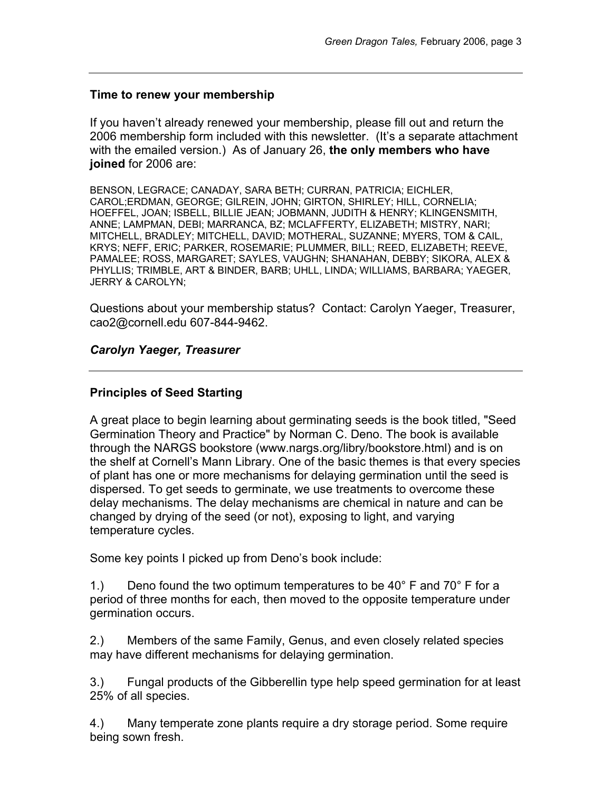### **Time to renew your membership**

If you haven't already renewed your membership, please fill out and return the 2006 membership form included with this newsletter. (It's a separate attachment with the emailed version.) As of January 26, **the only members who have joined** for 2006 are:

BENSON, LEGRACE; CANADAY, SARA BETH; CURRAN, PATRICIA; EICHLER, CAROL;ERDMAN, GEORGE; GILREIN, JOHN; GIRTON, SHIRLEY; HILL, CORNELIA; HOEFFEL, JOAN; ISBELL, BILLIE JEAN; JOBMANN, JUDITH & HENRY; KLINGENSMITH, ANNE; LAMPMAN, DEBI; MARRANCA, BZ; MCLAFFERTY, ELIZABETH; MISTRY, NARI; MITCHELL, BRADLEY; MITCHELL, DAVID; MOTHERAL, SUZANNE; MYERS, TOM & CAIL, KRYS; NEFF, ERIC; PARKER, ROSEMARIE; PLUMMER, BILL; REED, ELIZABETH; REEVE, PAMALEE; ROSS, MARGARET; SAYLES, VAUGHN; SHANAHAN, DEBBY; SIKORA, ALEX & PHYLLIS; TRIMBLE, ART & BINDER, BARB; UHLL, LINDA; WILLIAMS, BARBARA; YAEGER, JERRY & CAROLYN;

Questions about your membership status? Contact: Carolyn Yaeger, Treasurer, cao2@cornell.edu 607-844-9462.

### *Carolyn Yaeger, Treasurer*

### **Principles of Seed Starting**

A great place to begin learning about germinating seeds is the book titled, "Seed Germination Theory and Practice" by Norman C. Deno. The book is available through the NARGS bookstore (www.nargs.org/libry/bookstore.html) and is on the shelf at Cornell's Mann Library. One of the basic themes is that every species of plant has one or more mechanisms for delaying germination until the seed is dispersed. To get seeds to germinate, we use treatments to overcome these delay mechanisms. The delay mechanisms are chemical in nature and can be changed by drying of the seed (or not), exposing to light, and varying temperature cycles.

Some key points I picked up from Deno's book include:

1.) Deno found the two optimum temperatures to be 40 $^{\circ}$  F and 70 $^{\circ}$  F for a period of three months for each, then moved to the opposite temperature under germination occurs.

2.) Members of the same Family, Genus, and even closely related species may have different mechanisms for delaying germination.

3.) Fungal products of the Gibberellin type help speed germination for at least 25% of all species.

4.) Many temperate zone plants require a dry storage period. Some require being sown fresh.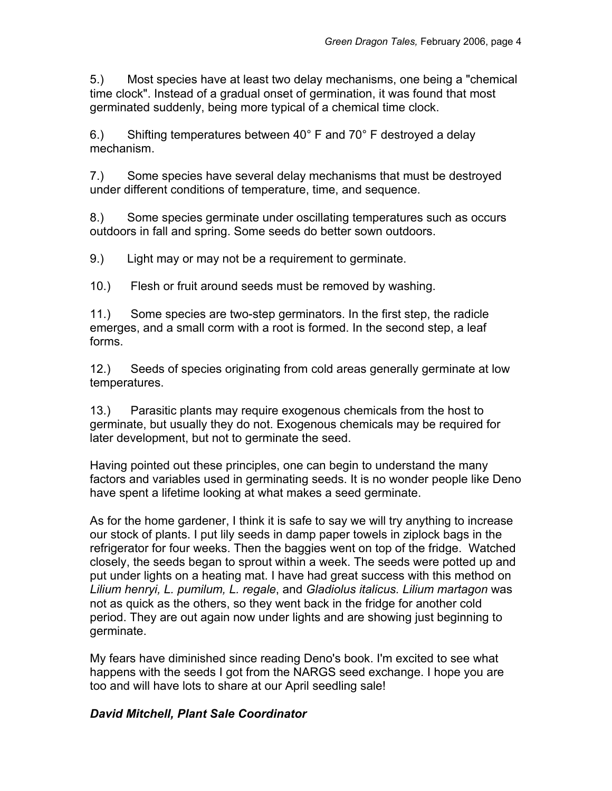5.) Most species have at least two delay mechanisms, one being a "chemical time clock". Instead of a gradual onset of germination, it was found that most germinated suddenly, being more typical of a chemical time clock.

6.) Shifting temperatures between 40 $^{\circ}$  F and 70 $^{\circ}$  F destroved a delay mechanism.

7.) Some species have several delay mechanisms that must be destroyed under different conditions of temperature, time, and sequence.

8.) Some species germinate under oscillating temperatures such as occurs outdoors in fall and spring. Some seeds do better sown outdoors.

9.) Light may or may not be a requirement to germinate.

10.) Flesh or fruit around seeds must be removed by washing.

11.) Some species are two-step germinators. In the first step, the radicle emerges, and a small corm with a root is formed. In the second step, a leaf forms.

12.) Seeds of species originating from cold areas generally germinate at low temperatures.

13.) Parasitic plants may require exogenous chemicals from the host to germinate, but usually they do not. Exogenous chemicals may be required for later development, but not to germinate the seed.

Having pointed out these principles, one can begin to understand the many factors and variables used in germinating seeds. It is no wonder people like Deno have spent a lifetime looking at what makes a seed germinate.

As for the home gardener, I think it is safe to say we will try anything to increase our stock of plants. I put lily seeds in damp paper towels in ziplock bags in the refrigerator for four weeks. Then the baggies went on top of the fridge. Watched closely, the seeds began to sprout within a week. The seeds were potted up and put under lights on a heating mat. I have had great success with this method on *Lilium henryi, L. pumilum, L. regale*, and *Gladiolus italicus. Lilium martagon* was not as quick as the others, so they went back in the fridge for another cold period. They are out again now under lights and are showing just beginning to germinate.

My fears have diminished since reading Deno's book. I'm excited to see what happens with the seeds I got from the NARGS seed exchange. I hope you are too and will have lots to share at our April seedling sale!

# *David Mitchell, Plant Sale Coordinator*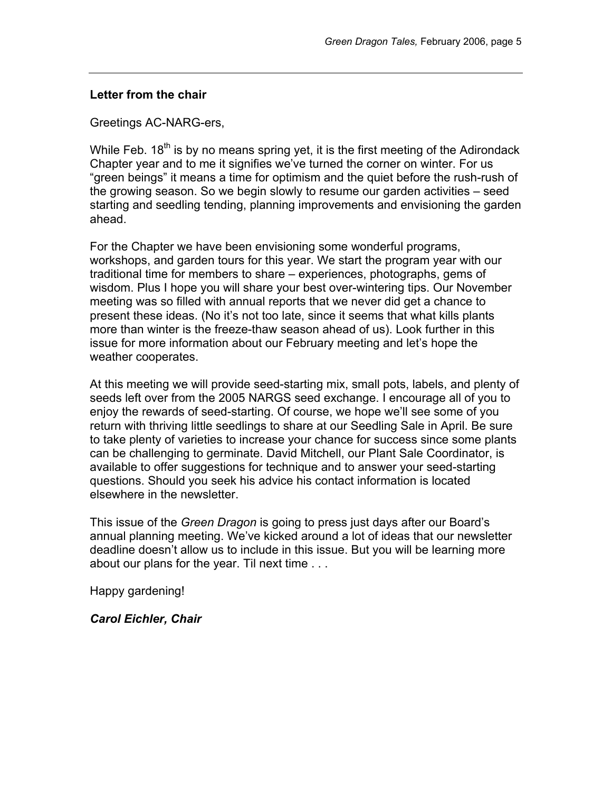#### **Letter from the chair**

Greetings AC-NARG-ers,

While Feb.  $18<sup>th</sup>$  is by no means spring yet, it is the first meeting of the Adirondack Chapter year and to me it signifies we've turned the corner on winter. For us "green beings" it means a time for optimism and the quiet before the rush-rush of the growing season. So we begin slowly to resume our garden activities – seed starting and seedling tending, planning improvements and envisioning the garden ahead.

For the Chapter we have been envisioning some wonderful programs, workshops, and garden tours for this year. We start the program year with our traditional time for members to share – experiences, photographs, gems of wisdom. Plus I hope you will share your best over-wintering tips. Our November meeting was so filled with annual reports that we never did get a chance to present these ideas. (No it's not too late, since it seems that what kills plants more than winter is the freeze-thaw season ahead of us). Look further in this issue for more information about our February meeting and let's hope the weather cooperates.

At this meeting we will provide seed-starting mix, small pots, labels, and plenty of seeds left over from the 2005 NARGS seed exchange. I encourage all of you to enjoy the rewards of seed-starting. Of course, we hope we'll see some of you return with thriving little seedlings to share at our Seedling Sale in April. Be sure to take plenty of varieties to increase your chance for success since some plants can be challenging to germinate. David Mitchell, our Plant Sale Coordinator, is available to offer suggestions for technique and to answer your seed-starting questions. Should you seek his advice his contact information is located elsewhere in the newsletter.

This issue of the *Green Dragon* is going to press just days after our Board's annual planning meeting. We've kicked around a lot of ideas that our newsletter deadline doesn't allow us to include in this issue. But you will be learning more about our plans for the year. Til next time . . .

Happy gardening!

*Carol Eichler, Chair*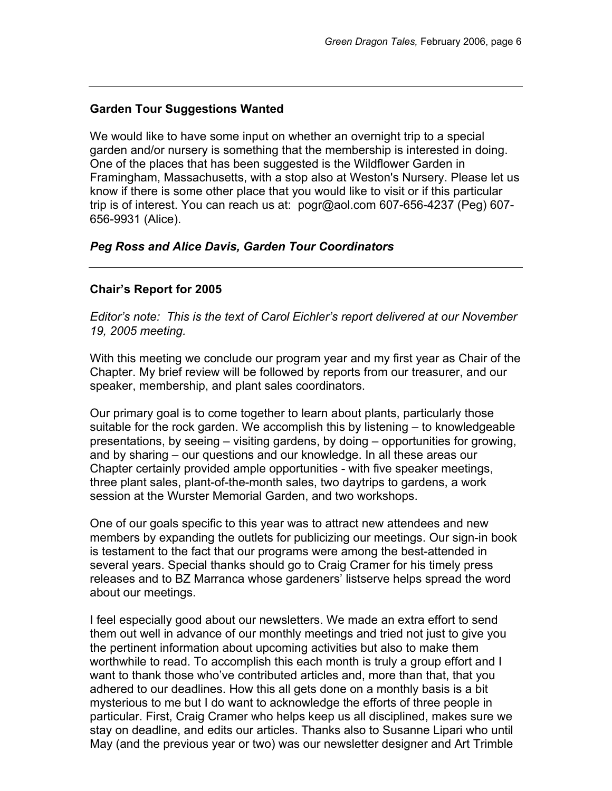# **Garden Tour Suggestions Wanted**

We would like to have some input on whether an overnight trip to a special garden and/or nursery is something that the membership is interested in doing. One of the places that has been suggested is the Wildflower Garden in Framingham, Massachusetts, with a stop also at Weston's Nursery. Please let us know if there is some other place that you would like to visit or if this particular trip is of interest. You can reach us at: pogr@aol.com 607-656-4237 (Peg) 607- 656-9931 (Alice).

# *Peg Ross and Alice Davis, Garden Tour Coordinators*

# **Chair's Report for 2005**

*Editor's note: This is the text of Carol Eichler's report delivered at our November 19, 2005 meeting.* 

With this meeting we conclude our program year and my first year as Chair of the Chapter. My brief review will be followed by reports from our treasurer, and our speaker, membership, and plant sales coordinators.

Our primary goal is to come together to learn about plants, particularly those suitable for the rock garden. We accomplish this by listening – to knowledgeable presentations, by seeing – visiting gardens, by doing – opportunities for growing, and by sharing – our questions and our knowledge. In all these areas our Chapter certainly provided ample opportunities - with five speaker meetings, three plant sales, plant-of-the-month sales, two daytrips to gardens, a work session at the Wurster Memorial Garden, and two workshops.

One of our goals specific to this year was to attract new attendees and new members by expanding the outlets for publicizing our meetings. Our sign-in book is testament to the fact that our programs were among the best-attended in several years. Special thanks should go to Craig Cramer for his timely press releases and to BZ Marranca whose gardeners' listserve helps spread the word about our meetings.

I feel especially good about our newsletters. We made an extra effort to send them out well in advance of our monthly meetings and tried not just to give you the pertinent information about upcoming activities but also to make them worthwhile to read. To accomplish this each month is truly a group effort and I want to thank those who've contributed articles and, more than that, that you adhered to our deadlines. How this all gets done on a monthly basis is a bit mysterious to me but I do want to acknowledge the efforts of three people in particular. First, Craig Cramer who helps keep us all disciplined, makes sure we stay on deadline, and edits our articles. Thanks also to Susanne Lipari who until May (and the previous year or two) was our newsletter designer and Art Trimble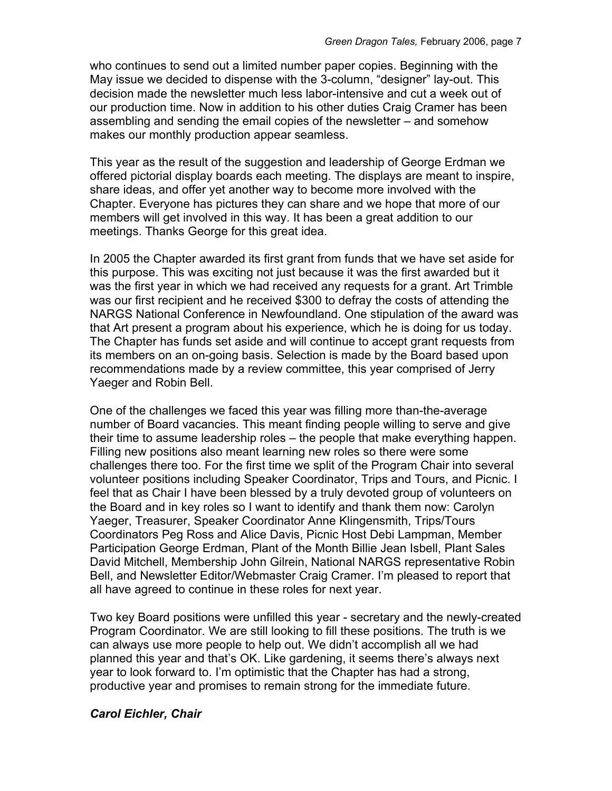who continues to send out a limited number paper copies. Beginning with the May issue we decided to dispense with the 3-column, "designer" lay-out. This decision made the newsletter much less labor-intensive and cut a week out of our production time. Now in addition to his other duties Craig Cramer has been assembling and sending the email copies of the newsletter – and somehow makes our monthly production appear seamless.

This year as the result of the suggestion and leadership of George Erdman we offered pictorial display boards each meeting. The displays are meant to inspire, share ideas, and offer yet another way to become more involved with the Chapter. Everyone has pictures they can share and we hope that more of our members will get involved in this way. It has been a great addition to our meetings. Thanks George for this great idea.

In 2005 the Chapter awarded its first grant from funds that we have set aside for this purpose. This was exciting not just because it was the first awarded but it was the first year in which we had received any requests for a grant. Art Trimble was our first recipient and he received \$300 to defray the costs of attending the NARGS National Conference in Newfoundland. One stipulation of the award was that Art present a program about his experience, which he is doing for us today. The Chapter has funds set aside and will continue to accept grant requests from its members on an on-going basis. Selection is made by the Board based upon recommendations made by a review committee, this year comprised of Jerry Yaeger and Robin Bell.

One of the challenges we faced this year was filling more than-the-average number of Board vacancies. This meant finding people willing to serve and give their time to assume leadership roles – the people that make everything happen. Filling new positions also meant learning new roles so there were some challenges there too. For the first time we split of the Program Chair into several volunteer positions including Speaker Coordinator, Trips and Tours, and Picnic. I feel that as Chair I have been blessed by a truly devoted group of volunteers on the Board and in key roles so I want to identify and thank them now: Carolyn Yaeger, Treasurer, Speaker Coordinator Anne Klingensmith, Trips/Tours Coordinators Peg Ross and Alice Davis, Picnic Host Debi Lampman, Member Participation George Erdman, Plant of the Month Billie Jean Isbell, Plant Sales David Mitchell, Membership John Gilrein, National NARGS representative Robin Bell, and Newsletter Editor/Webmaster Craig Cramer. I'm pleased to report that all have agreed to continue in these roles for next year.

Two key Board positions were unfilled this year - secretary and the newly-created Program Coordinator. We are still looking to fill these positions. The truth is we can always use more people to help out. We didn't accomplish all we had planned this year and that's OK. Like gardening, it seems there's always next year to look forward to. I'm optimistic that the Chapter has had a strong, productive year and promises to remain strong for the immediate future.

#### *Carol Eichler, Chair*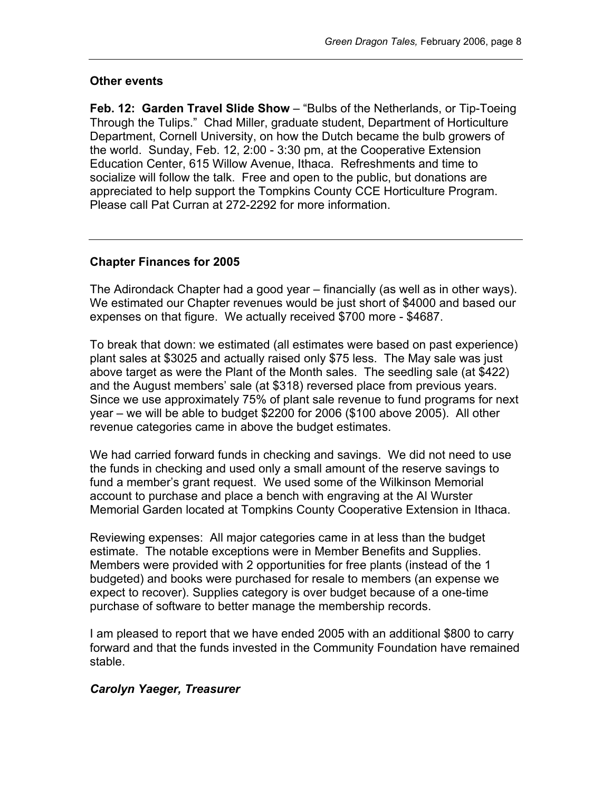# **Other events**

**Feb. 12: Garden Travel Slide Show** – "Bulbs of the Netherlands, or Tip-Toeing Through the Tulips." Chad Miller, graduate student, Department of Horticulture Department, Cornell University, on how the Dutch became the bulb growers of the world. Sunday, Feb. 12, 2:00 - 3:30 pm, at the Cooperative Extension Education Center, 615 Willow Avenue, Ithaca. Refreshments and time to socialize will follow the talk. Free and open to the public, but donations are appreciated to help support the Tompkins County CCE Horticulture Program. Please call Pat Curran at 272-2292 for more information.

## **Chapter Finances for 2005**

The Adirondack Chapter had a good year – financially (as well as in other ways). We estimated our Chapter revenues would be just short of \$4000 and based our expenses on that figure. We actually received \$700 more - \$4687.

To break that down: we estimated (all estimates were based on past experience) plant sales at \$3025 and actually raised only \$75 less. The May sale was just above target as were the Plant of the Month sales. The seedling sale (at \$422) and the August members' sale (at \$318) reversed place from previous years. Since we use approximately 75% of plant sale revenue to fund programs for next year – we will be able to budget \$2200 for 2006 (\$100 above 2005). All other revenue categories came in above the budget estimates.

We had carried forward funds in checking and savings. We did not need to use the funds in checking and used only a small amount of the reserve savings to fund a member's grant request. We used some of the Wilkinson Memorial account to purchase and place a bench with engraving at the Al Wurster Memorial Garden located at Tompkins County Cooperative Extension in Ithaca.

Reviewing expenses: All major categories came in at less than the budget estimate. The notable exceptions were in Member Benefits and Supplies. Members were provided with 2 opportunities for free plants (instead of the 1 budgeted) and books were purchased for resale to members (an expense we expect to recover). Supplies category is over budget because of a one-time purchase of software to better manage the membership records.

I am pleased to report that we have ended 2005 with an additional \$800 to carry forward and that the funds invested in the Community Foundation have remained stable.

## *Carolyn Yaeger, Treasurer*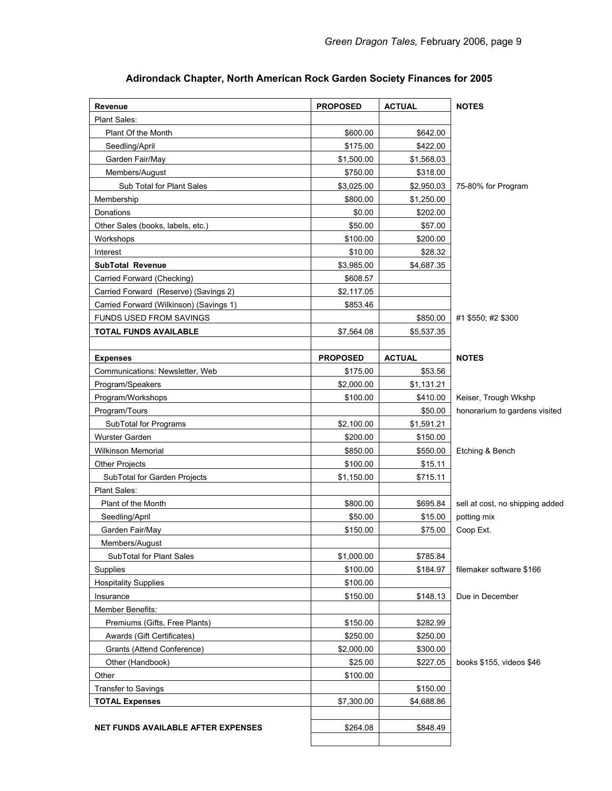| Revenue                                 | <b>PROPOSED</b> | <b>ACTUAL</b> | <b>NOTES</b>                    |
|-----------------------------------------|-----------------|---------------|---------------------------------|
| Plant Sales:                            |                 |               |                                 |
| Plant Of the Month                      | \$600.00        | \$642.00      |                                 |
| Seedling/April                          | \$175.00        | \$422.00      |                                 |
| Garden Fair/May                         | \$1,500.00      | \$1,568.03    |                                 |
| Members/August                          | \$750.00        | \$318.00      |                                 |
| Sub Total for Plant Sales               | \$3,025.00      | \$2,950.03    | 75-80% for Program              |
| Membership                              | \$800.00        | \$1,250.00    |                                 |
| Donations                               | \$0.00          | \$202.00      |                                 |
| Other Sales (books, labels, etc.)       | \$50.00         | \$57.00       |                                 |
| Workshops                               | \$100.00        | \$200.00      |                                 |
| Interest                                | \$10.00         | \$28.32       |                                 |
| <b>SubTotal Revenue</b>                 | \$3,985.00      | \$4,687.35    |                                 |
| Carried Forward (Checking)              | \$608.57        |               |                                 |
| Carried Forward (Reserve) (Savings 2)   | \$2,117.05      |               |                                 |
| Carried Forward (Wilkinson) (Savings 1) | \$853.46        |               |                                 |
| <b>FUNDS USED FROM SAVINGS</b>          |                 | \$850.00      | #1 \$550; #2 \$300              |
| <b>TOTAL FUNDS AVAILABLE</b>            | \$7,564.08      | \$5,537.35    |                                 |
|                                         |                 |               |                                 |
| <b>Expenses</b>                         | <b>PROPOSED</b> | <b>ACTUAL</b> | <b>NOTES</b>                    |
| Communications: Newsletter, Web         | \$175.00        | \$53.56       |                                 |
| Program/Speakers                        | \$2,000.00      | \$1,131.21    |                                 |
| Program/Workshops                       | \$100.00        | \$410.00      | Keiser, Trough Wkshp            |
| Program/Tours                           |                 | \$50.00       | honorarium to gardens visited   |
| SubTotal for Programs                   | \$2,100.00      | \$1,591.21    |                                 |
| Wurster Garden                          | \$200.00        | \$150.00      |                                 |
| <b>Wilkinson Memorial</b>               | \$850.00        | \$550.00      | Etching & Bench                 |
| <b>Other Projects</b>                   | \$100.00        | \$15.11       |                                 |
| SubTotal for Garden Projects            | \$1,150.00      | \$715.11      |                                 |
| Plant Sales:                            |                 |               |                                 |
| Plant of the Month                      | \$800.00        | \$695.84      | sell at cost, no shipping added |
| Seedling/April                          | \$50.00         | \$15.00       | potting mix                     |
| Garden Fair/May                         | \$150.00        | \$75.00       | Coop Ext.                       |
| Members/August                          |                 |               |                                 |
| SubTotal for Plant Sales                | \$1,000.00      | \$785.84      |                                 |
| Supplies                                | \$100.00        | \$184.97      | filemaker software \$166        |
| <b>Hospitality Supplies</b>             | \$100.00        |               |                                 |
| Insurance                               | \$150.00        | \$148.13      | Due in December                 |
| Member Benefits:                        |                 |               |                                 |
| Premiums (Gifts, Free Plants)           | \$150.00        | \$282.99      |                                 |
| Awards (Gift Certificates)              | \$250.00        | \$250.00      |                                 |
| Grants (Attend Conference)              |                 |               |                                 |
|                                         | \$2,000.00      | \$300.00      |                                 |
| Other (Handbook)                        | \$25.00         | \$227.05      | books \$155, videos \$46        |
| Other                                   | \$100.00        |               |                                 |
| <b>Transfer to Savings</b>              |                 | \$150.00      |                                 |
| <b>TOTAL Expenses</b>                   | \$7,300.00      | \$4,688.86    |                                 |
|                                         |                 |               |                                 |
| NET FUNDS AVAILABLE AFTER EXPENSES      | \$264.08        | \$848.49      |                                 |
|                                         |                 |               |                                 |

# **Adirondack Chapter, North American Rock Garden Society Finances for 2005**